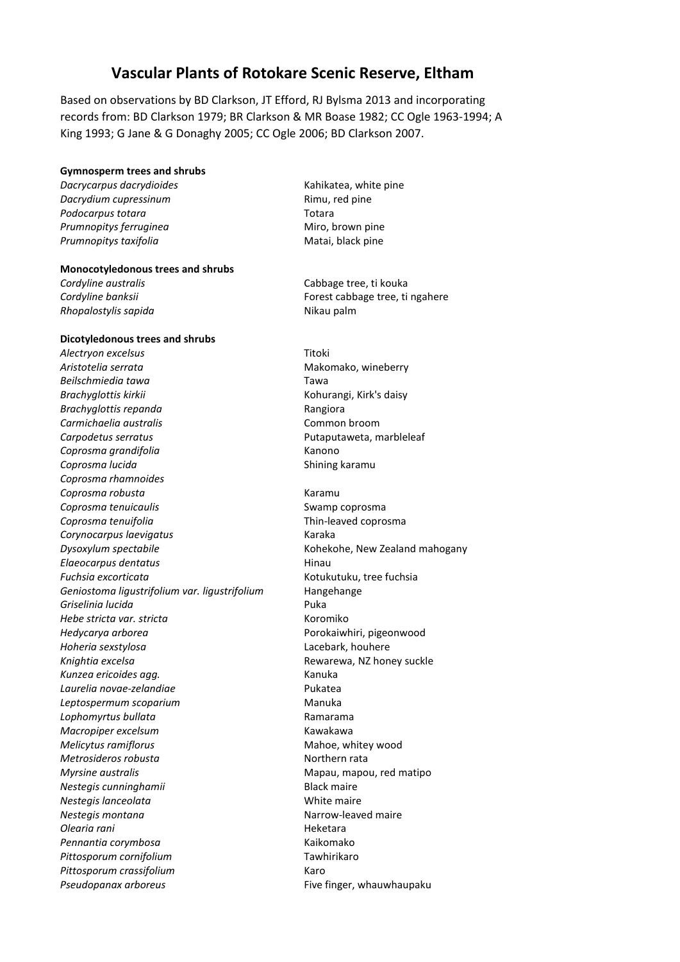## **Vascular Plants of Rotokare Scenic Reserve, Eltham**

Based on observations by BD Clarkson, JT Efford, RJ Bylsma 2013 and incorporating records from: BD Clarkson 1979; BR Clarkson & MR Boase 1982; CC Ogle 1963-1994; A King 1993; G Jane & G Donaghy 2005; CC Ogle 2006; BD Clarkson 2007.

### **Gymnosperm trees and shrubs**

*Dacrycarpus dacrydioides* Kahikatea, white pine **Dacrydium cupressinum** and a setting proportion of the Rimu, red pine Podocarpus totara **Totara** Totara *Prumnopitys ferruginea* Miro, brown pine Prumnopitys taxifolia and a metal of the Matai, black pine

#### **Monocotyledonous trees and shrubs**

*Rhopalostylis sapida* Nikau palm

#### **Dicotyledonous trees and shrubs**

*Alectryon excelsus* Titoki Aristotelia serrata **Makomako**, wineberry *Beilschmiedia tawa* Tawa **Brachyglottis kirkii** Kohurangi, Kirk's daisy *Brachyglottis repanda* Rangiora *Carmichaelia australis* Common broom Carpodetus serratus **Carpodetus Serratus Putaputaweta**, marbleleaf *Coprosma grandifolia* Kanono **Coprosma lucida** Shining karamu *Coprosma rhamnoides Coprosma robusta* Karamu **Coprosma tenuicaulis** Coprosma **Swamp** coprosma *Coprosma tenuifolia* Thin-leaved coprosma *Corynocarpus laevigatus* Karaka **Dysoxylum spectabile** Manuschille Kohekohe, New Zealand mahogany *Elaeocarpus dentatus* **Hinau** *Fuchsia excorticata* Kotukutuku, tree fuchsia *Geniostoma ligustrifolium var. ligustrifolium* Hangehange *Griselinia lucida* Puka *Hebe stricta var. stricta* Koromiko *Hedycarya arborea* Porokaiwhiri, pigeonwood *Hoheria sexstylosa* Lacebark, houhere *Knightia excelsa* Rewarewa, NZ honey suckle *Kunzea ericoides agg.* Kanuka *Laurelia novae-zelandiae* Pukatea **Leptospermum scoparium** Manuka *Lophomyrtus bullata* Ramarama *Macropiper excelsum* Kawakawa *Melicytus ramiflorus* Mahoe, whitey wood *Metrosideros robusta* Northern rata *Myrsine australis* Mapau, mapou, red matipo *Nestegis cunninghamii* Black maire *Nestegis lanceolata* White maire *Nestegis montana* Nestegis montana *Olearia rani* Heketara Pennantia corymbosa **Kaikomako** *Pittosporum cornifolium* Tawhirikaro *Pittosporum crassifolium* Karo Pseudopanax arboreus **Filter and American** Five finger, whauwhaupaku

**Cordyline australis** Cabbage tree, ti kouka *Cordyline banksii* Forest cabbage tree, ti ngahere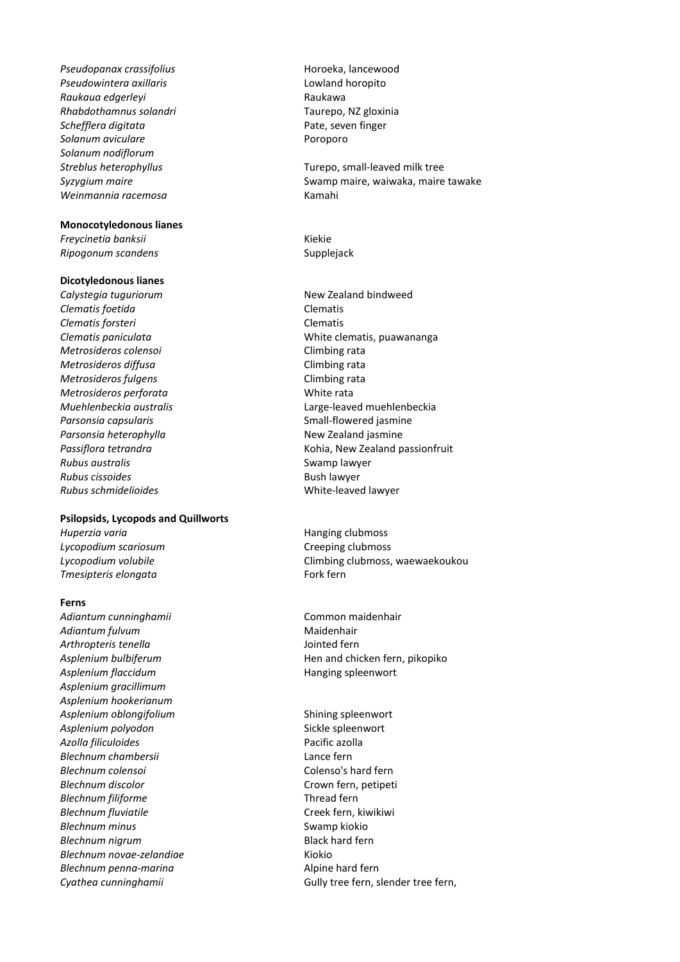Pseudopanax crassifolius extending the Horoeka, lancewood *Pseudowintera axillaris* Lowland horopito *Raukaua edgerleyi* Raukawa *Rhabdothamnus solandri* Taurepo, NZ gloxinia **Schefflera digitata Pate, seven finger Solanum aviculare Poroporo** *Solanum nodiflorum Streblus heterophyllus* Turepo, small-leaved milk tree *Weinmannia racemosa* Kamahi

#### **Monocotyledonous lianes**

*Freycinetia banksii* Kiekie **Ripogonum scandens** Supplejack

#### **Dicotyledonous lianes**

*Calystegia tuguriorum* New Zealand bindweed *Clematis foetida* Clematis *Clematis forsteri* Clematis *Metrosideros colensoi* Climbing rata *Metrosideros diffusa* extending the Climbing rata *Metrosideros fulgens* Climbing rata *Metrosideros perforata* and the matrix white rata Parsonsia capsularis and a series of the Small-flowered jasmine Parsonsia heterophylla **New Zealand jasmine Rubus australis Rubus australis Rubus Swamp lawyer Rubus cissoides Bush lawyer Bush lawyer** *Rubus schmidelioides* White-leaved lawyer

#### **Psilopsids, Lycopods and Quillworts**

*Huperzia varia* entrance and the Hanging clubmoss **Hanging** clubmoss *Lycopodium scariosum* Creeping clubmoss **Tmesipteris elongata** Fork fern

#### **Ferns**

*Adiantum cunninghamii* Common maidenhair Adiantum fulvum **Maidenhair** Maidenhair *Arthropteris tenella* Jointed fern Asplenium flaccidum<br>
Hanging spleenwort *Asplenium gracillimum Asplenium hookerianum* Asplenium oblongifolium and the settlem of the shining spleenwort Asplenium polyodon<br>
Sickle spleenwort *Azolla filiculoides* Pacific azolla *Blechnum chambersii* Lance fern *Blechnum colensoi* Colenso's hard fern *Blechnum discolor* Crown fern, petipeti *Blechnum filiforme* Thread fern *Blechnum fluviatile* Creek fern, kiwikiwi *Blechnum minus* Swamp kiokio **Blechnum nigrum** Black hard fern *Blechnum novae-zelandiae* Kiokio *Blechnum penna-marina* and the analysis of alpine hard fern

Syzygium maire **Syzygium maire** Syzygium maire waiwaka, maire tawake

*Clematis paniculata* White clematis, puawananga *Muehlenbeckia australis* Large-leaved muehlenbeckia *Passiflora tetrandra* Kohia, New Zealand passionfruit

*Lycopodium volubile* Climbing clubmoss, waewaekoukou

Asplenium bulbiferum **Hendamin** Hen and chicken fern, pikopiko

*Cyathea cunninghamii* Gully tree fern, slender tree fern,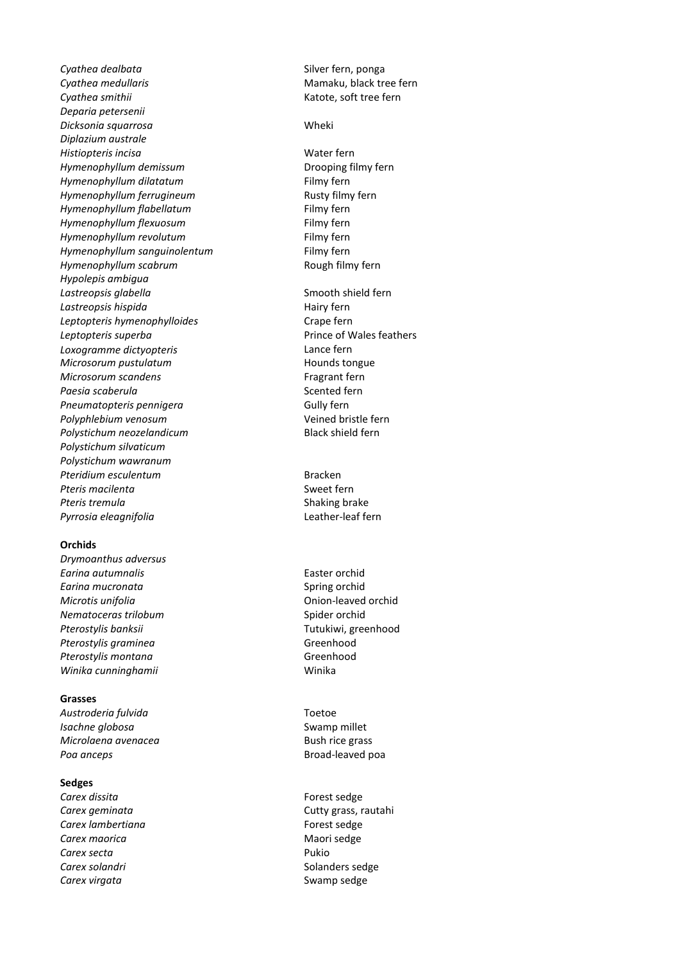**Cyathea dealbata** Cyathea dealbata Cyathea dealbata **Cyathea medullaris** Cyathea medullaris and the Mamaku, black tree fern **Cyathea smithii** Katote, soft tree fern *Deparia petersenii Dicksonia squarrosa* Wheki *Diplazium australe Histiopteris incisa* Water fern *Hymenophyllum demissum* Drooping filmy fern *Hymenophyllum dilatatum* Filmy fern *Hymenophyllum ferrugineum* Rusty filmy fern *Hymenophyllum flabellatum* Filmy fern *Hymenophyllum flexuosum* Filmy fern *Hymenophyllum revolutum* example of the Filmy fern *Hymenophyllum sanguinolentum* Filmy fern *Hymenophyllum scabrum* and the state of Rough filmy fern *Hypolepis ambigua* Lastreopsis glabella **Smooth shield fern** Lastreopsis hispida **Hairy fern** Hairy fern *Leptopteris hymenophylloides* Crape fern Leptopteris superba<br> **Prince of Wales feathers** *Loxogramme dictyopteris* Lance fern *Microsorum pustulatum* example and the Hounds tongue **Microsorum scandens** Fragrant fern Paesia scaberula **Scented fern** Scented fern **Pneumatopteris pennigera** Gully fern *Polyphlebium venosum* Veined bristle fern Polystichum neozelandicum and a state of Black shield fern *Polystichum silvaticum Polystichum wawranum* **Pteridium esculentum** and a state of the Bracken **Pteris macilenta** Sweet fern **Pteris tremula Shaking brake** *Pyrrosia eleagnifolia* Leather-leaf fern

#### **Orchids**

*Drymoanthus adversus Earina autumnalis* Easter orchid **Earina mucronata Earing orchid** Spring orchid *Microtis unifolia* **Microtis** unifolia **Nematoceras trilobum** Spider orchid Pterostylis banksii **New York Contract and Tutukiwi**, greenhood Pterostylis graminea<br>
Greenhood Pterostylis montana<br>
Greenhood Winika cunninghamii Winika

#### **Grasses**

*Austroderia fulvida* Toetoe *Isachne globosa* Swamp millet *Microlaena avenacea* Bush rice grass Poa anceps and a set of the set of the Broad-leaved poa

# **Sedges**

**Carex lambertiana Forest sedge Carex maorica** Maori sedge **Carex secta** Pukio **Carex solandri** Solanders sedge **Carex virgata** Swamp sedge

Forest sedge *Carex geminata* Cutty grass, rautahi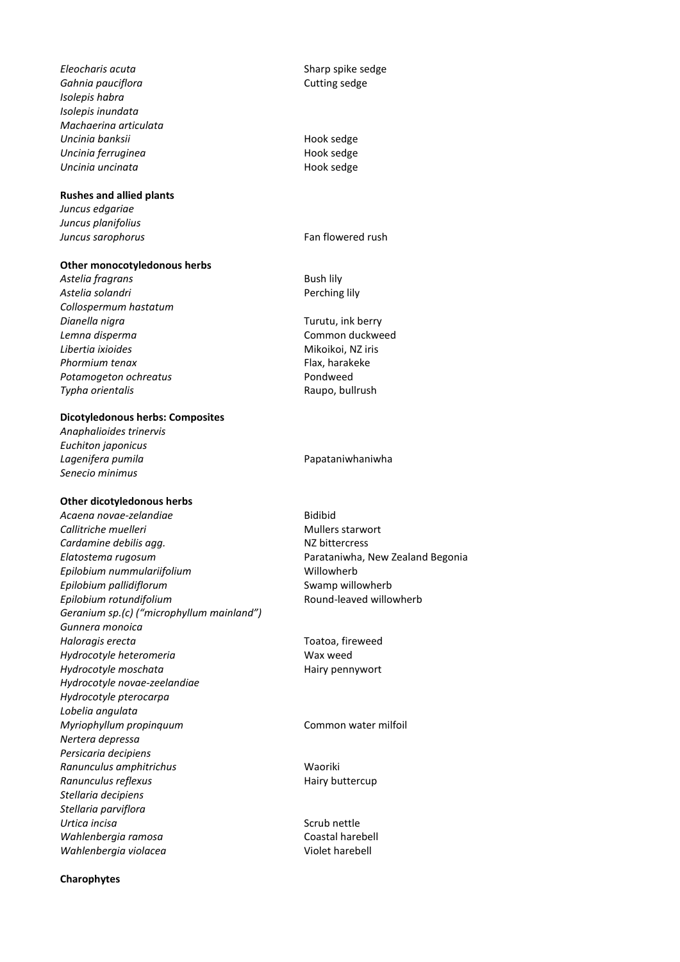*Eleocharis acuta* Sharp spike sedge **Gahnia pauciflora** Cutting sedge *Isolepis habra Isolepis inundata Machaerina articulata Uncinia banksii* Hook sedge **Uncinia ferruginea Hook sedge Uncinia uncinata Hook sedge** 

#### **Rushes and allied plants**

*Juncus edgariae Juncus planifolius Juncus sarophorus* Fan flowered rush

#### **Other monocotyledonous herbs**

Astelia fragrans and the second part of the Bush lily Astelia solandri **Perching lily** *Collospermum hastatum Dianella nigra* Turutu, ink berry *Lemna disperma* Common duckweed *Libertia ixioides* Mikoikoi, NZ iris **Phormium tenax** Flax, harakeke Potamogeton ochreatus **Potamogeton** ochreatus **Pondweed** *Typha orientalis* Raupo, bullrush

### **Dicotyledonous herbs: Composites**

*Anaphalioides trinervis Euchiton japonicus* Lagenifera pumila<br> **Lagenifera pumila**<br> **Papataniwhaniwha** *Senecio minimus*

#### **Other dicotyledonous herbs**

Acaena novae-zelandiae **Bidibid Callitriche muelleri** Mullers starwort **Cardamine debilis agg.** NZ bittercress *Elatostema rugosum* Parataniwha, New Zealand Begonia *Epilobium nummulariifolium* Willowherb *Epilobium pallidiflorum* and the state of the Swamp willowherb *Epilobium rotundifolium* and the second Round-leaved willowherb *Geranium sp.(c) ("microphyllum mainland") Gunnera monoica Haloragis erecta* Toatoa, fireweed *Hydrocotyle heteromeria* Wax weed *Hydrocotyle moschata* **Hairy pennywort Hairy pennywort** *Hydrocotyle novae-zeelandiae Hydrocotyle pterocarpa Lobelia angulata Myriophyllum propinquum* Common water milfoil *Nertera depressa Persicaria decipiens Ranunculus amphitrichus* Waoriki **Ranunculus reflexus Hairy buttercup** *Stellaria decipiens Stellaria parviflora* **Urtica incisa** Scrub nettle *Wahlenbergia ramosa* Coastal harebell *Wahlenbergia violacea* Violet harebell

**Charophytes**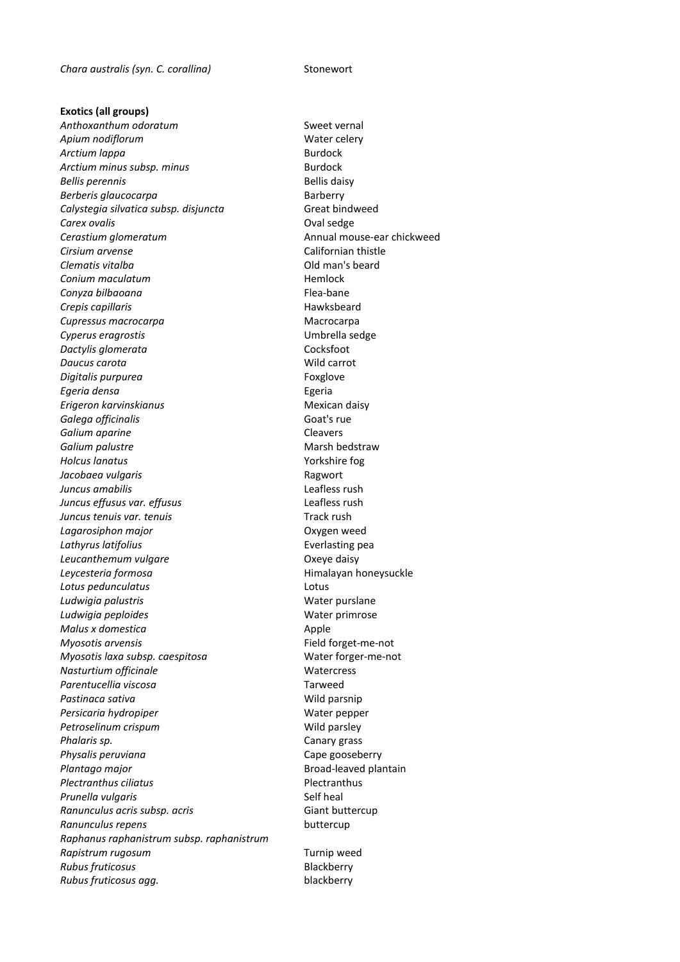**Exotics (all groups)** Anthoxanthum odoratum and the state of the Sweet vernal Apium nodiflorum **Mater Celery Water celery** Arctium lappa **Burdock** Arctium minus subsp. minus<br>
Burdock **Bellis perennis Bellis daisy Berberis glaucocarpa Barberry** Calystegia silvatica subsp. disjuncta Great bindweed **Carex ovalis Carex Oval sedge Cerastium glomeratum** and the control of the Annual mouse-ear chickweed *Cirsium arvense* Californian thistle **Clematis vitalba Clematis vitalba Clematis vitalba Clematis beard Conium maculatum Hemlock** *Conyza bilbaoana* Flea-bane **Crepis capillaris Hawksbeard** *Cupressus macrocarpa* Macrocarpa *Cyperus eragrostis* Umbrella sedge **Dactylis glomerata Cocksfoot** *Daucus carota* Wild carrot *Digitalis purpurea* Foxglove *Egeria densa* Egeria *Erigeron karvinskianus* Mexican daisy **Galega officinalis** Goat's rue *Galium aparine* Cleavers **Galium palustre Marsh bedstraw** *Holcus lanatus* Yorkshire fog *Jacobaea vulgaris* et al. **Ragwort** *Juncus amabilis* Leafless rush *Juncus effusus var. effusus* Leafless rush *Juncus tenuis var. tenuis* Track rush *Lagarosiphon major* Oxygen weed Lathyrus latifolius **Everlasting pea** Leucanthemum vulgare<br> **Compare Compare Compare Compare Compare Compare Compare Compare Compare Compare Compare Compare Compare Compare Compare Compare Compare Compare Compare Compare Compare Compare Compare Compare Compare** *Leycesteria formosa* Himalayan honeysuckle *Lotus pedunculatus* Lotus Ludwigia palustris and the second version of the United States and Vater purslane Ludwigia peploides **Water primrose Water** primrose *Malus x domestica* Apple *Myosotis arvensis* Field forget-me-not *Myosotis laxa subsp. caespitosa* Water forger-me-not **Nasturtium officinale** Matercress *Parentucellia viscosa* Tarweed Pastinaca sativa and a series of the Mild parsnip Persicaria hydropiper and a settlement of the Mater pepper **Petroselinum crispum** Wild parsley *Phalaris sp.* Canary grass Physalis peruviana **Cape gooseberry** Cape gooseberry Plantago major *Plantago major* **Broad-leaved plantain** *Plectranthus ciliatus* Plectranthus **Prunella vulgaris** The Self heal **Ranunculus acris subsp. acris** Giant buttercup **Ranunculus repens** buttercup *Raphanus raphanistrum subsp. raphanistrum* **Rapistrum rugosum** Turnip weed **Rubus fruticosus Blackberry** *Rubus fruticosus agg.* blackberry